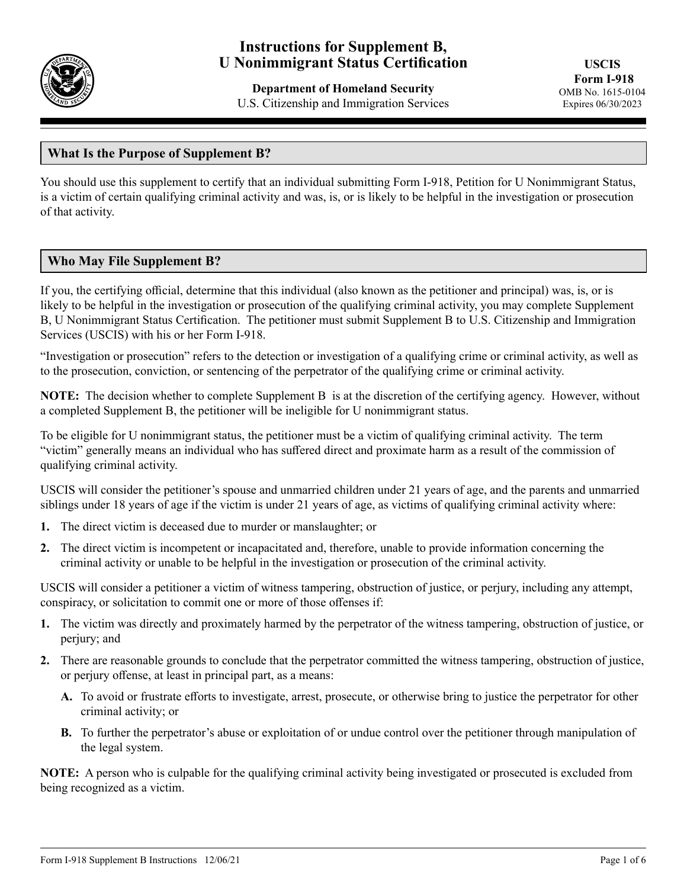

# **Instructions for Supplement B, U Nonimmigrant Status Certification**

**Department of Homeland Security** U.S. Citizenship and Immigration Services

## **What Is the Purpose of Supplement B?**

You should use this supplement to certify that an individual submitting Form I-918, Petition for U Nonimmigrant Status, is a victim of certain qualifying criminal activity and was, is, or is likely to be helpful in the investigation or prosecution of that activity.

## **Who May File Supplement B?**

If you, the certifying official, determine that this individual (also known as the petitioner and principal) was, is, or is likely to be helpful in the investigation or prosecution of the qualifying criminal activity, you may complete Supplement B, U Nonimmigrant Status Certification. The petitioner must submit Supplement B to U.S. Citizenship and Immigration Services (USCIS) with his or her Form I-918.

"Investigation or prosecution" refers to the detection or investigation of a qualifying crime or criminal activity, as well as to the prosecution, conviction, or sentencing of the perpetrator of the qualifying crime or criminal activity.

**NOTE:** The decision whether to complete Supplement B is at the discretion of the certifying agency. However, without a completed Supplement B, the petitioner will be ineligible for U nonimmigrant status.

To be eligible for U nonimmigrant status, the petitioner must be a victim of qualifying criminal activity. The term "victim" generally means an individual who has suffered direct and proximate harm as a result of the commission of qualifying criminal activity.

USCIS will consider the petitioner's spouse and unmarried children under 21 years of age, and the parents and unmarried siblings under 18 years of age if the victim is under 21 years of age, as victims of qualifying criminal activity where:

- **1.** The direct victim is deceased due to murder or manslaughter; or
- **2.** The direct victim is incompetent or incapacitated and, therefore, unable to provide information concerning the criminal activity or unable to be helpful in the investigation or prosecution of the criminal activity.

USCIS will consider a petitioner a victim of witness tampering, obstruction of justice, or perjury, including any attempt, conspiracy, or solicitation to commit one or more of those offenses if:

- **1.** The victim was directly and proximately harmed by the perpetrator of the witness tampering, obstruction of justice, or perjury; and
- **2.** There are reasonable grounds to conclude that the perpetrator committed the witness tampering, obstruction of justice, or perjury offense, at least in principal part, as a means:
	- **A.** To avoid or frustrate efforts to investigate, arrest, prosecute, or otherwise bring to justice the perpetrator for other criminal activity; or
	- **B.** To further the perpetrator's abuse or exploitation of or undue control over the petitioner through manipulation of the legal system.

**NOTE:** A person who is culpable for the qualifying criminal activity being investigated or prosecuted is excluded from being recognized as a victim.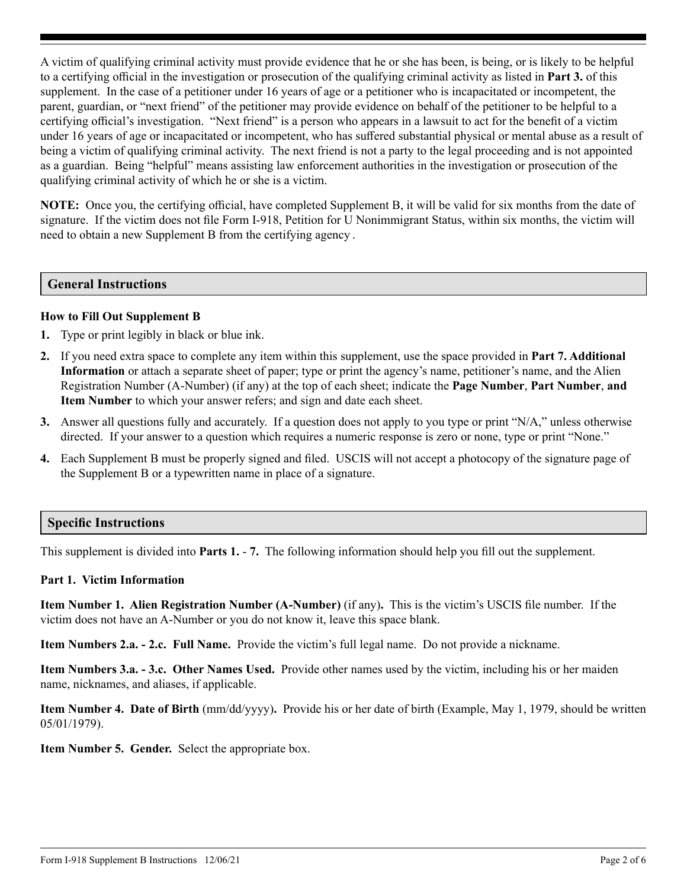A victim of qualifying criminal activity must provide evidence that he or she has been, is being, or is likely to be helpful to a certifying official in the investigation or prosecution of the qualifying criminal activity as listed in **Part 3.** of this supplement. In the case of a petitioner under 16 years of age or a petitioner who is incapacitated or incompetent, the parent, guardian, or "next friend" of the petitioner may provide evidence on behalf of the petitioner to be helpful to a certifying official's investigation. "Next friend" is a person who appears in a lawsuit to act for the benefit of a victim under 16 years of age or incapacitated or incompetent, who has suffered substantial physical or mental abuse as a result of being a victim of qualifying criminal activity. The next friend is not a party to the legal proceeding and is not appointed as a guardian. Being "helpful" means assisting law enforcement authorities in the investigation or prosecution of the qualifying criminal activity of which he or she is a victim.

**NOTE:** Once you, the certifying official, have completed Supplement B, it will be valid for six months from the date of signature. If the victim does not file Form I-918, Petition for U Nonimmigrant Status, within six months, the victim will need to obtain a new Supplement B from the certifying agency .

#### **General Instructions**

#### **How to Fill Out Supplement B**

- **1.** Type or print legibly in black or blue ink.
- **2.** If you need extra space to complete any item within this supplement, use the space provided in **Part 7. Additional Information** or attach a separate sheet of paper; type or print the agency's name, petitioner's name, and the Alien Registration Number (A-Number) (if any) at the top of each sheet; indicate the **Page Number**, **Part Number**, **and Item Number** to which your answer refers; and sign and date each sheet.
- **3.** Answer all questions fully and accurately. If a question does not apply to you type or print "N/A," unless otherwise directed. If your answer to a question which requires a numeric response is zero or none, type or print "None."
- **4.** Each Supplement B must be properly signed and filed. USCIS will not accept a photocopy of the signature page of the Supplement B or a typewritten name in place of a signature.

## **Specific Instructions**

This supplement is divided into **Parts 1.** - **7.** The following information should help you fill out the supplement.

#### **Part 1. Victim Information**

**Item Number 1. Alien Registration Number (A-Number)** (if any)**.** This is the victim's USCIS file number. If the victim does not have an A-Number or you do not know it, leave this space blank.

**Item Numbers 2.a. - 2.c. Full Name.** Provide the victim's full legal name. Do not provide a nickname.

**Item Numbers 3.a. - 3.c. Other Names Used.** Provide other names used by the victim, including his or her maiden name, nicknames, and aliases, if applicable.

**Item Number 4. Date of Birth** (mm/dd/yyyy)**.** Provide his or her date of birth (Example, May 1, 1979, should be written 05/01/1979).

**Item Number 5. Gender.** Select the appropriate box.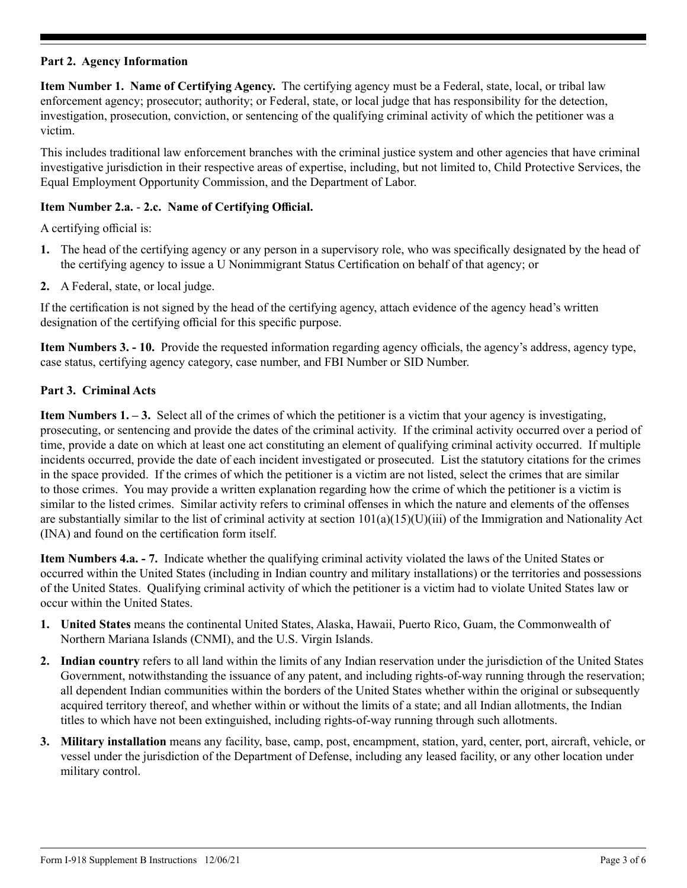## **Part 2. Agency Information**

**Item Number 1. Name of Certifying Agency.** The certifying agency must be a Federal, state, local, or tribal law enforcement agency; prosecutor; authority; or Federal, state, or local judge that has responsibility for the detection, investigation, prosecution, conviction, or sentencing of the qualifying criminal activity of which the petitioner was a victim.

This includes traditional law enforcement branches with the criminal justice system and other agencies that have criminal investigative jurisdiction in their respective areas of expertise, including, but not limited to, Child Protective Services, the Equal Employment Opportunity Commission, and the Department of Labor.

## **Item Number 2.a.** - **2.c. Name of Certifying Official.**

A certifying official is:

- **1.** The head of the certifying agency or any person in a supervisory role, who was specifically designated by the head of the certifying agency to issue a U Nonimmigrant Status Certification on behalf of that agency; or
- **2.** A Federal, state, or local judge.

If the certification is not signed by the head of the certifying agency, attach evidence of the agency head's written designation of the certifying official for this specific purpose.

**Item Numbers 3. - 10.** Provide the requested information regarding agency officials, the agency's address, agency type, case status, certifying agency category, case number, and FBI Number or SID Number.

#### **Part 3. Criminal Acts**

**Item Numbers 1. – 3.** Select all of the crimes of which the petitioner is a victim that your agency is investigating, prosecuting, or sentencing and provide the dates of the criminal activity. If the criminal activity occurred over a period of time, provide a date on which at least one act constituting an element of qualifying criminal activity occurred. If multiple incidents occurred, provide the date of each incident investigated or prosecuted. List the statutory citations for the crimes in the space provided.If the crimes of which the petitioner is a victim are not listed, select the crimes that are similar to those crimes. You may provide a written explanation regarding how the crime of which the petitioner is a victim is similar to the listed crimes. Similar activity refers to criminal offenses in which the nature and elements of the offenses are substantially similar to the list of criminal activity at section  $101(a)(15)(U)(iii)$  of the Immigration and Nationality Act (INA) and found on the certification form itself.

**Item Numbers 4.a. - 7.** Indicate whether the qualifying criminal activity violated the laws of the United States or occurred within the United States (including in Indian country and military installations) or the territories and possessions of the United States. Qualifying criminal activity of which the petitioner is a victim had to violate United States law or occur within the United States.

- **1. United States** means the continental United States, Alaska, Hawaii, Puerto Rico, Guam, the Commonwealth of Northern Mariana Islands (CNMI), and the U.S. Virgin Islands.
- **2. Indian country** refers to all land within the limits of any Indian reservation under the jurisdiction of the United States Government, notwithstanding the issuance of any patent, and including rights-of-way running through the reservation; all dependent Indian communities within the borders of the United States whether within the original or subsequently acquired territory thereof, and whether within or without the limits of a state; and all Indian allotments, the Indian titles to which have not been extinguished, including rights-of-way running through such allotments.
- **3. Military installation** means any facility, base, camp, post, encampment, station, yard, center, port, aircraft, vehicle, or vessel under the jurisdiction of the Department of Defense, including any leased facility, or any other location under military control.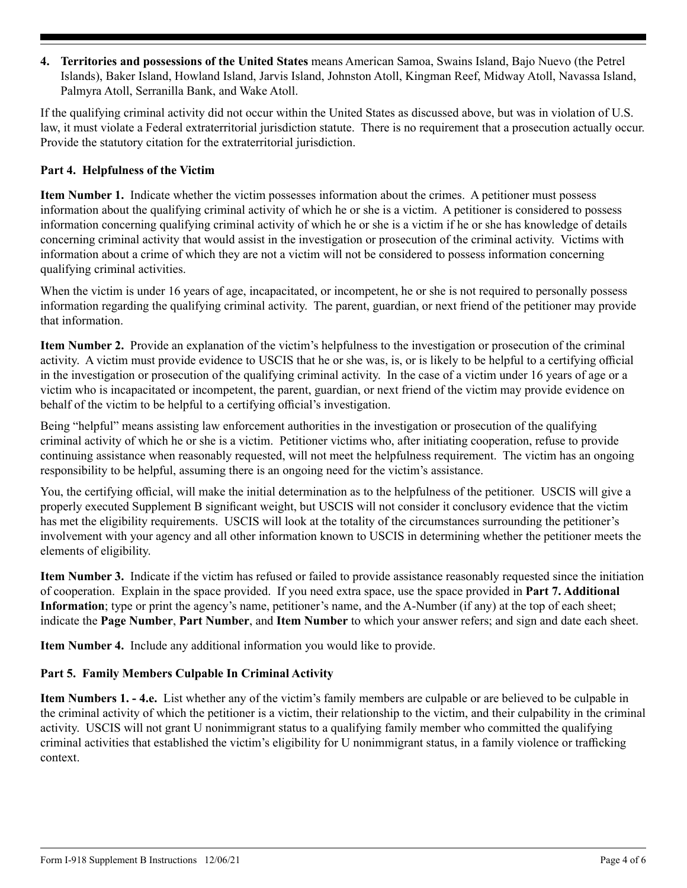**4. Territories and possessions of the United States** means American Samoa, Swains Island, Bajo Nuevo (the Petrel Islands), Baker Island, Howland Island, Jarvis Island, Johnston Atoll, Kingman Reef, Midway Atoll, Navassa Island, Palmyra Atoll, Serranilla Bank, and Wake Atoll.

If the qualifying criminal activity did not occur within the United States as discussed above, but was in violation of U.S. law, it must violate a Federal extraterritorial jurisdiction statute. There is no requirement that a prosecution actually occur. Provide the statutory citation for the extraterritorial jurisdiction.

## **Part 4. Helpfulness of the Victim**

**Item Number 1.** Indicate whether the victim possesses information about the crimes. A petitioner must possess information about the qualifying criminal activity of which he or she is a victim. A petitioner is considered to possess information concerning qualifying criminal activity of which he or she is a victim if he or she has knowledge of details concerning criminal activity that would assist in the investigation or prosecution of the criminal activity. Victims with information about a crime of which they are not a victim will not be considered to possess information concerning qualifying criminal activities.

When the victim is under 16 years of age, incapacitated, or incompetent, he or she is not required to personally possess information regarding the qualifying criminal activity. The parent, guardian, or next friend of the petitioner may provide that information.

**Item Number 2.** Provide an explanation of the victim's helpfulness to the investigation or prosecution of the criminal activity. A victim must provide evidence to USCIS that he or she was, is, or is likely to be helpful to a certifying official in the investigation or prosecution of the qualifying criminal activity. In the case of a victim under 16 years of age or a victim who is incapacitated or incompetent, the parent, guardian, or next friend of the victim may provide evidence on behalf of the victim to be helpful to a certifying official's investigation.

Being "helpful" means assisting law enforcement authorities in the investigation or prosecution of the qualifying criminal activity of which he or she is a victim. Petitioner victims who, after initiating cooperation, refuse to provide continuing assistance when reasonably requested, will not meet the helpfulness requirement. The victim has an ongoing responsibility to be helpful, assuming there is an ongoing need for the victim's assistance.

You, the certifying official, will make the initial determination as to the helpfulness of the petitioner. USCIS will give a properly executed Supplement B significant weight, but USCIS will not consider it conclusory evidence that the victim has met the eligibility requirements. USCIS will look at the totality of the circumstances surrounding the petitioner's involvement with your agency and all other information known to USCIS in determining whether the petitioner meets the elements of eligibility.

**Item Number 3.** Indicate if the victim has refused or failed to provide assistance reasonably requested since the initiation of cooperation. Explain in the space provided. If you need extra space, use the space provided in **Part 7. Additional Information**; type or print the agency's name, petitioner's name, and the A-Number (if any) at the top of each sheet; indicate the **Page Number**, **Part Number**, and **Item Number** to which your answer refers; and sign and date each sheet.

**Item Number 4.** Include any additional information you would like to provide.

## **Part 5. Family Members Culpable In Criminal Activity**

**Item Numbers 1. - 4.e.** List whether any of the victim's family members are culpable or are believed to be culpable in the criminal activity of which the petitioner is a victim, their relationship to the victim, and their culpability in the criminal activity. USCIS will not grant U nonimmigrant status to a qualifying family member who committed the qualifying criminal activities that established the victim's eligibility for U nonimmigrant status, in a family violence or trafficking context.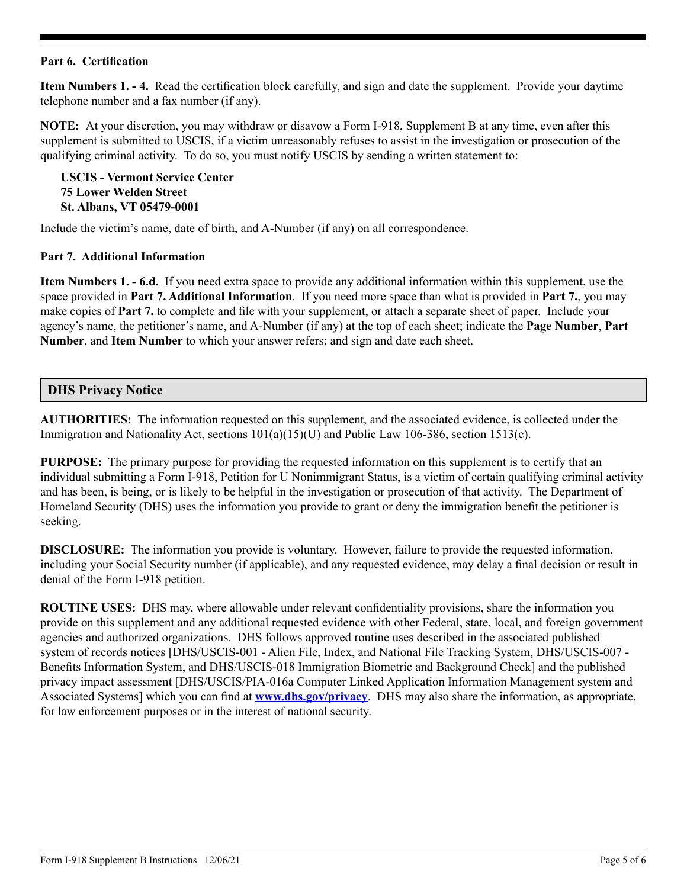#### **Part 6. Certification**

**Item Numbers 1. - 4.** Read the certification block carefully, and sign and date the supplement. Provide your daytime telephone number and a fax number (if any).

**NOTE:** At your discretion, you may withdraw or disavow a Form I-918, Supplement B at any time, even after this supplement is submitted to USCIS, if a victim unreasonably refuses to assist in the investigation or prosecution of the qualifying criminal activity. To do so, you must notify USCIS by sending a written statement to:

**USCIS - Vermont Service Center 75 Lower Welden Street St. Albans, VT 05479-0001**

Include the victim's name, date of birth, and A-Number (if any) on all correspondence.

#### **Part 7. Additional Information**

**Item Numbers 1. - 6.d.** If you need extra space to provide any additional information within this supplement, use the space provided in **Part 7. Additional Information**. If you need more space than what is provided in **Part 7.**, you may make copies of **Part 7.** to complete and file with your supplement, or attach a separate sheet of paper. Include your agency's name, the petitioner's name, and A-Number (if any) at the top of each sheet; indicate the **Page Number**, **Part Number**, and **Item Number** to which your answer refers; and sign and date each sheet.

## **DHS Privacy Notice**

**AUTHORITIES:** The information requested on this supplement, and the associated evidence, is collected under the Immigration and Nationality Act, sections 101(a)(15)(U) and Public Law 106-386, section 1513(c).

**PURPOSE:** The primary purpose for providing the requested information on this supplement is to certify that an individual submitting a Form I-918, Petition for U Nonimmigrant Status, is a victim of certain qualifying criminal activity and has been, is being, or is likely to be helpful in the investigation or prosecution of that activity. The Department of Homeland Security (DHS) uses the information you provide to grant or deny the immigration benefit the petitioner is seeking.

**DISCLOSURE:** The information you provide is voluntary. However, failure to provide the requested information, including your Social Security number (if applicable), and any requested evidence, may delay a final decision or result in denial of the Form I-918 petition.

**ROUTINE USES:** DHS may, where allowable under relevant confidentiality provisions, share the information you provide on this supplement and any additional requested evidence with other Federal, state, local, and foreign government agencies and authorized organizations. DHS follows approved routine uses described in the associated published system of records notices [DHS/USCIS-001 - Alien File, Index, and National File Tracking System, DHS/USCIS-007 - Benefits Information System, and DHS/USCIS-018 Immigration Biometric and Background Check] and the published privacy impact assessment [DHS/USCIS/PIA-016a Computer Linked Application Information Management system and Associated Systems] which you can find at **[www.dhs.gov/privacy](http://www.dhs.gov/privacy)**. DHS may also share the information, as appropriate, for law enforcement purposes or in the interest of national security.